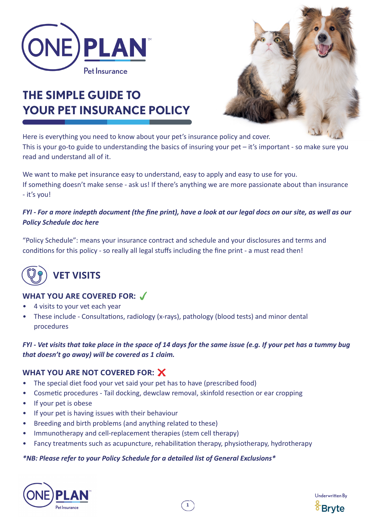

# **THE SIMPLE GUIDE TO YOUR PET INSURANCE POLICY**



Here is everything you need to know about your pet's insurance policy and cover. This is your go-to guide to understanding the basics of insuring your pet – it's important - so make sure you read and understand all of it.

We want to make pet insurance easy to understand, easy to apply and easy to use for you. If something doesn't make sense - ask us! If there's anything we are more passionate about than insurance - it's you!

#### *FYI - For a more indepth document (the fine print), have a look at our legal docs on our site, as well as our Policy Schedule doc here*

"Policy Schedule": means your insurance contract and schedule and your disclosures and terms and conditions for this policy - so really all legal stuffs including the fine print - a must read then!



## **VET VISITS**

## **WHAT YOU ARE COVERED FOR:**

- 4 visits to your vet each year
- These include Consultations, radiology (x-rays), pathology (blood tests) and minor dental procedures

*FYI - Vet visits that take place in the space of 14 days for the same issue (e.g. If your pet has a tummy bug that doesn't go away) will be covered as 1 claim.*

**1**

#### **WHAT YOU ARE NOT COVERED FOR:**

- The special diet food your vet said your pet has to have (prescribed food)
- Cosmetic procedures Tail docking, dewclaw removal, skinfold resection or ear cropping
- If your pet is obese
- If your pet is having issues with their behaviour
- Breeding and birth problems (and anything related to these)
- Immunotherapy and cell-replacement therapies (stem cell therapy)
- Fancy treatments such as acupuncture, rehabilitation therapy, physiotherapy, hydrotherapy

#### *\*NB: Please refer to your Policy Schedule for a detailed list of General Exclusions\**



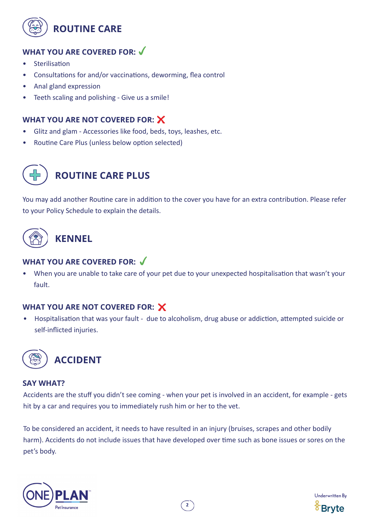

## **WHAT YOU ARE COVERED FOR:**

- **Sterilisation**
- Consultations for and/or vaccinations, deworming, flea control
- Anal gland expression
- Teeth scaling and polishing Give us a smile!

### **WHAT YOU ARE NOT COVERED FOR:**

- Glitz and glam Accessories like food, beds, toys, leashes, etc.
- Routine Care Plus (unless below option selected)



## **ROUTINE CARE PLUS**

You may add another Routine care in addition to the cover you have for an extra contribution. Please refer to your Policy Schedule to explain the details.



## **WHAT YOU ARE COVERED FOR:**

• When you are unable to take care of your pet due to your unexpected hospitalisation that wasn't your fault.

#### **WHAT YOU ARE NOT COVERED FOR:**

• Hospitalisation that was your fault - due to alcoholism, drug abuse or addiction, attempted suicide or self-inflicted injuries.



#### **SAY WHAT?**

Accidents are the stuff you didn't see coming - when your pet is involved in an accident, for example - gets hit by a car and requires you to immediately rush him or her to the vet.

To be considered an accident, it needs to have resulted in an injury (bruises, scrapes and other bodily harm). Accidents do not include issues that have developed over time such as bone issues or sores on the pet's body.



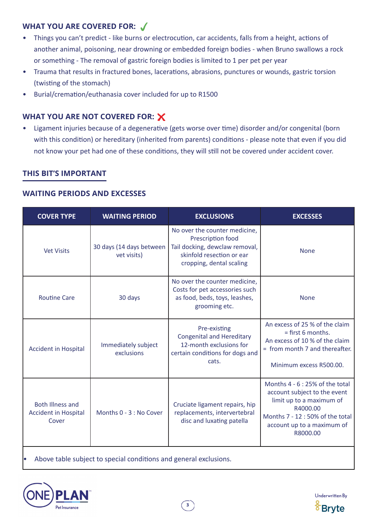### **WHAT YOU ARE COVERED FOR:**

- Things you can't predict like burns or electrocution, car accidents, falls from a height, actions of another animal, poisoning, near drowning or embedded foreign bodies - when Bruno swallows a rock or something - The removal of gastric foreign bodies is limited to 1 per pet per year
- Trauma that results in fractured bones, lacerations, abrasions, punctures or wounds, gastric torsion (twisting of the stomach)
- Burial/cremation/euthanasia cover included for up to R1500

## **WHAT YOU ARE NOT COVERED FOR:**

• Ligament injuries because of a degenerative (gets worse over time) disorder and/or congenital (born with this condition) or hereditary (inherited from parents) conditions - please note that even if you did not know your pet had one of these conditions, they will still not be covered under accident cover.

## **THIS BIT'S IMPORTANT**

#### **WAITING PERIODS AND EXCESSES**

| <b>COVER TYPE</b>                                               | <b>WAITING PERIOD</b>                   | <b>EXCLUSIONS</b>                                                                                                                             | <b>EXCESSES</b>                                                                                                                                                                     |
|-----------------------------------------------------------------|-----------------------------------------|-----------------------------------------------------------------------------------------------------------------------------------------------|-------------------------------------------------------------------------------------------------------------------------------------------------------------------------------------|
| <b>Vet Visits</b>                                               | 30 days (14 days between<br>vet visits) | No over the counter medicine,<br>Prescription food<br>Tail docking, dewclaw removal,<br>skinfold resection or ear<br>cropping, dental scaling | <b>None</b>                                                                                                                                                                         |
| <b>Routine Care</b>                                             | 30 days                                 | No over the counter medicine,<br>Costs for pet accessories such<br>as food, beds, toys, leashes,<br>grooming etc.                             | <b>None</b>                                                                                                                                                                         |
| <b>Accident in Hospital</b>                                     | Immediately subject<br>exclusions       | Pre-existing<br><b>Congenital and Hereditary</b><br>12-month exclusions for<br>certain conditions for dogs and<br>cats.                       | An excess of 25 % of the claim<br>$=$ first 6 months.<br>An excess of 10 % of the claim<br>= from month 7 and thereafter.<br>Minimum excess R500.00.                                |
| <b>Both Illness and</b><br><b>Accident in Hospital</b><br>Cover | Months 0 - 3 : No Cover                 | Cruciate ligament repairs, hip<br>replacements, intervertebral<br>disc and luxating patella                                                   | Months 4 - 6 : 25% of the total<br>account subject to the event<br>limit up to a maximum of<br>R4000.00<br>Months 7 - 12:50% of the total<br>account up to a maximum of<br>R8000.00 |

Above table subject to special conditions and general exclusions.



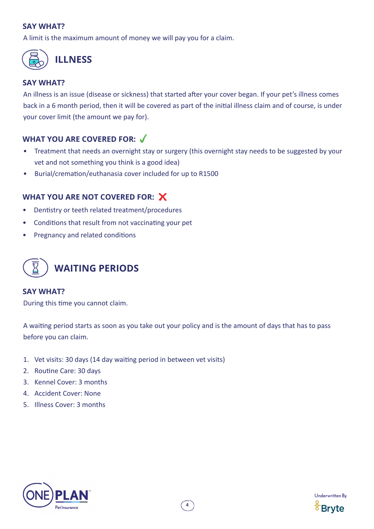#### **SAY WHAT?**

A limit is the maximum amount of money we will pay you for a claim.



#### **SAY WHAT?**

An illness is an issue (disease or sickness) that started after your cover began. If your pet's illness comes back in a 6 month period, then it will be covered as part of the initial illness claim and of course, is under your cover limit (the amount we pay for).

## **WHAT YOU ARE COVERED FOR:**

- Treatment that needs an overnight stay or surgery (this overnight stay needs to be suggested by your vet and not something you think is a good idea)
- Burial/cremation/euthanasia cover included for up to R1500

#### **WHAT YOU ARE NOT COVERED FOR:**

- Dentistry or teeth related treatment/procedures
- Conditions that result from not vaccinating your pet
- Pregnancy and related conditions



#### **SAY WHAT?**

During this time you cannot claim.

A waiting period starts as soon as you take out your policy and is the amount of days that has to pass before you can claim.

- 1. Vet visits: 30 days (14 day waiting period in between vet visits)
- 2. Routine Care: 30 days
- 3. Kennel Cover: 3 months
- 4. Accident Cover: None
- 5. Illness Cover: 3 months